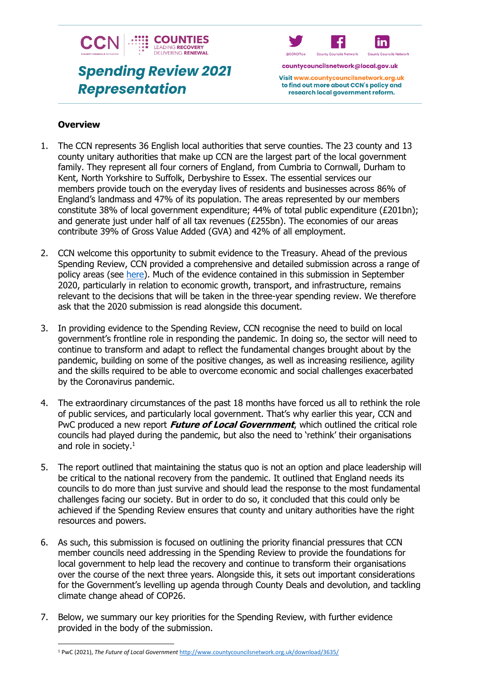

# **Spending Review 2021 Representation**



countycouncilsnetwork@local.gov.uk

Visit www.countycouncilsnetwork.org.uk to find out more about CCN's policy and research local government reform.

#### **Overview**

- 1. The CCN represents 36 English local authorities that serve counties. The 23 county and 13 county unitary authorities that make up CCN are the largest part of the local government family. They represent all four corners of England, from Cumbria to Cornwall, Durham to Kent, North Yorkshire to Suffolk, Derbyshire to Essex. The essential services our members provide touch on the everyday lives of residents and businesses across 86% of England's landmass and 47% of its population. The areas represented by our members constitute 38% of local government expenditure; 44% of total public expenditure (£201bn); and generate just under half of all tax revenues (£255bn). The economies of our areas contribute 39% of Gross Value Added (GVA) and 42% of all employment.
- 2. CCN welcome this opportunity to submit evidence to the Treasury. Ahead of the previous Spending Review, CCN provided a comprehensive and detailed submission across a range of policy areas (see [here\)](http://www.countycouncilsnetwork.org.uk/download/3248/). Much of the evidence contained in this submission in September 2020, particularly in relation to economic growth, transport, and infrastructure, remains relevant to the decisions that will be taken in the three-year spending review. We therefore ask that the 2020 submission is read alongside this document.
- 3. In providing evidence to the Spending Review, CCN recognise the need to build on local government's frontline role in responding the pandemic. In doing so, the sector will need to continue to transform and adapt to reflect the fundamental changes brought about by the pandemic, building on some of the positive changes, as well as increasing resilience, agility and the skills required to be able to overcome economic and social challenges exacerbated by the Coronavirus pandemic.
- 4. The extraordinary circumstances of the past 18 months have forced us all to rethink the role of public services, and particularly local government. That's why earlier this year, CCN and PwC produced a new report **Future of Local Government**, which outlined the critical role councils had played during the pandemic, but also the need to 'rethink' their organisations and role in society. $<sup>1</sup>$ </sup>
- 5. The report outlined that maintaining the status quo is not an option and place leadership will be critical to the national recovery from the pandemic. It outlined that England needs its councils to do more than just survive and should lead the response to the most fundamental challenges facing our society. But in order to do so, it concluded that this could only be achieved if the Spending Review ensures that county and unitary authorities have the right resources and powers.
- 6. As such, this submission is focused on outlining the priority financial pressures that CCN member councils need addressing in the Spending Review to provide the foundations for local government to help lead the recovery and continue to transform their organisations over the course of the next three years. Alongside this, it sets out important considerations for the Government's levelling up agenda through County Deals and devolution, and tackling climate change ahead of COP26.
- 7. Below, we summary our key priorities for the Spending Review, with further evidence provided in the body of the submission.

<sup>1</sup> PwC (2021), *The Future of Local Government* <http://www.countycouncilsnetwork.org.uk/download/3635/>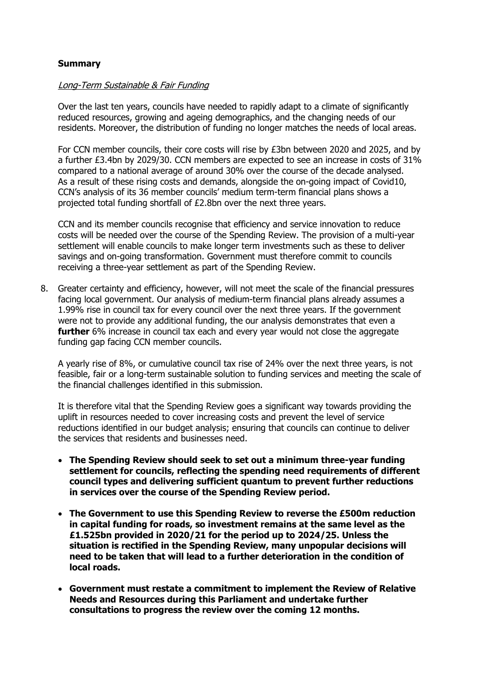## **Summary**

#### Long-Term Sustainable & Fair Funding

Over the last ten years, councils have needed to rapidly adapt to a climate of significantly reduced resources, growing and ageing demographics, and the changing needs of our residents. Moreover, the distribution of funding no longer matches the needs of local areas.

For CCN member councils, their core costs will rise by £3bn between 2020 and 2025, and by a further £3.4bn by 2029/30. CCN members are expected to see an increase in costs of 31% compared to a national average of around 30% over the course of the decade analysed. As a result of these rising costs and demands, alongside the on-going impact of Covid10, CCN's analysis of its 36 member councils' medium term-term financial plans shows a projected total funding shortfall of £2.8bn over the next three years.

CCN and its member councils recognise that efficiency and service innovation to reduce costs will be needed over the course of the Spending Review. The provision of a multi-year settlement will enable councils to make longer term investments such as these to deliver savings and on-going transformation. Government must therefore commit to councils receiving a three-year settlement as part of the Spending Review.

8. Greater certainty and efficiency, however, will not meet the scale of the financial pressures facing local government. Our analysis of medium-term financial plans already assumes a 1.99% rise in council tax for every council over the next three years. If the government were not to provide any additional funding, the our analysis demonstrates that even a **further** 6% increase in council tax each and every year would not close the aggregate funding gap facing CCN member councils.

A yearly rise of 8%, or cumulative council tax rise of 24% over the next three years, is not feasible, fair or a long-term sustainable solution to funding services and meeting the scale of the financial challenges identified in this submission.

It is therefore vital that the Spending Review goes a significant way towards providing the uplift in resources needed to cover increasing costs and prevent the level of service reductions identified in our budget analysis; ensuring that councils can continue to deliver the services that residents and businesses need.

- **The Spending Review should seek to set out a minimum three-year funding settlement for councils, reflecting the spending need requirements of different council types and delivering sufficient quantum to prevent further reductions in services over the course of the Spending Review period.**
- **The Government to use this Spending Review to reverse the £500m reduction in capital funding for roads, so investment remains at the same level as the £1.525bn provided in 2020/21 for the period up to 2024/25. Unless the situation is rectified in the Spending Review, many unpopular decisions will need to be taken that will lead to a further deterioration in the condition of local roads.**
- **Government must restate a commitment to implement the Review of Relative Needs and Resources during this Parliament and undertake further consultations to progress the review over the coming 12 months.**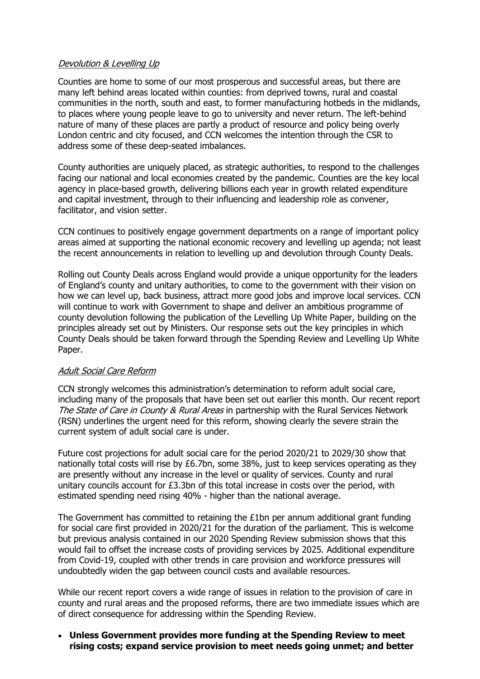#### Devolution & Levelling Up

Counties are home to some of our most prosperous and successful areas, but there are many left behind areas located within counties: from deprived towns, rural and coastal communities in the north, south and east, to former manufacturing hotbeds in the midlands, to places where young people leave to go to university and never return. The left-behind nature of many of these places are partly a product of resource and policy being overly London centric and city focused, and CCN welcomes the intention through the CSR to address some of these deep-seated imbalances.

County authorities are uniquely placed, as strategic authorities, to respond to the challenges facing our national and local economies created by the pandemic. Counties are the key local agency in place-based growth, delivering billions each year in growth related expenditure and capital investment, through to their influencing and leadership role as convener, facilitator, and vision setter.

CCN continues to positively engage government departments on a range of important policy areas aimed at supporting the national economic recovery and levelling up agenda; not least the recent announcements in relation to levelling up and devolution through County Deals.

Rolling out County Deals across England would provide a unique opportunity for the leaders of England's county and unitary authorities, to come to the government with their vision on how we can level up, back business, attract more good jobs and improve local services. CCN will continue to work with Government to shape and deliver an ambitious programme of county devolution following the publication of the Levelling Up White Paper, building on the principles already set out by Ministers. Our response sets out the key principles in which County Deals should be taken forward through the Spending Review and Levelling Up White Paper.

#### Adult Social Care Reform

CCN strongly welcomes this administration's determination to reform adult social care, including many of the proposals that have been set out earlier this month. Our recent report The State of Care in County & Rural Areas in partnership with the Rural Services Network (RSN) underlines the urgent need for this reform, showing clearly the severe strain the current system of adult social care is under.

Future cost projections for adult social care for the period 2020/21 to 2029/30 show that nationally total costs will rise by £6.7bn, some 38%, just to keep services operating as they are presently without any increase in the level or quality of services. County and rural unitary councils account for £3.3bn of this total increase in costs over the period, with estimated spending need rising 40% - higher than the national average.

The Government has committed to retaining the  $£1$ bn per annum additional grant funding for social care first provided in 2020/21 for the duration of the parliament. This is welcome but previous analysis contained in our 2020 Spending Review submission shows that this would fail to offset the increase costs of providing services by 2025. Additional expenditure from Covid-19, coupled with other trends in care provision and workforce pressures will undoubtedly widen the gap between council costs and available resources.

While our recent report covers a wide range of issues in relation to the provision of care in county and rural areas and the proposed reforms, there are two immediate issues which are of direct consequence for addressing within the Spending Review.

• **Unless Government provides more funding at the Spending Review to meet rising costs; expand service provision to meet needs going unmet; and better**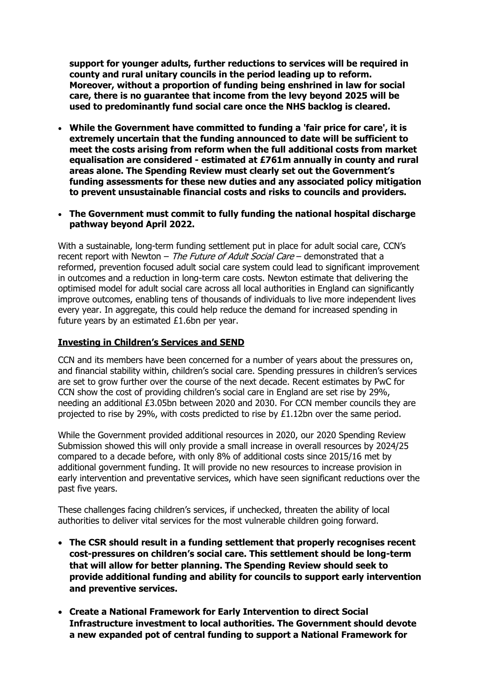**support for younger adults, further reductions to services will be required in county and rural unitary councils in the period leading up to reform. Moreover, without a proportion of funding being enshrined in law for social care, there is no guarantee that income from the levy beyond 2025 will be used to predominantly fund social care once the NHS backlog is cleared.** 

- **While the Government have committed to funding a 'fair price for care', it is extremely uncertain that the funding announced to date will be sufficient to meet the costs arising from reform when the full additional costs from market equalisation are considered - estimated at £761m annually in county and rural areas alone. The Spending Review must clearly set out the Government's funding assessments for these new duties and any associated policy mitigation to prevent unsustainable financial costs and risks to councils and providers.**
- **The Government must commit to fully funding the national hospital discharge pathway beyond April 2022.**

With a sustainable, long-term funding settlement put in place for adult social care, CCN's recent report with Newton – The Future of Adult Social Care – demonstrated that a reformed, prevention focused adult social care system could lead to significant improvement in outcomes and a reduction in long-term care costs. Newton estimate that delivering the optimised model for adult social care across all local authorities in England can significantly improve outcomes, enabling tens of thousands of individuals to live more independent lives every year. In aggregate, this could help reduce the demand for increased spending in future years by an estimated £1.6bn per year.

#### **Investing in Children's Services and SEND**

CCN and its members have been concerned for a number of years about the pressures on, and financial stability within, children's social care. Spending pressures in children's services are set to grow further over the course of the next decade. Recent estimates by PwC for CCN show the cost of providing children's social care in England are set rise by 29%, needing an additional £3.05bn between 2020 and 2030. For CCN member councils they are projected to rise by 29%, with costs predicted to rise by  $£1.12$ bn over the same period.

While the Government provided additional resources in 2020, our 2020 Spending Review Submission showed this will only provide a small increase in overall resources by 2024/25 compared to a decade before, with only 8% of additional costs since 2015/16 met by additional government funding. It will provide no new resources to increase provision in early intervention and preventative services, which have seen significant reductions over the past five years.

These challenges facing children's services, if unchecked, threaten the ability of local authorities to deliver vital services for the most vulnerable children going forward.

- **The CSR should result in a funding settlement that properly recognises recent cost-pressures on children's social care. This settlement should be long-term that will allow for better planning. The Spending Review should seek to provide additional funding and ability for councils to support early intervention and preventive services.**
- **Create a National Framework for Early Intervention to direct Social Infrastructure investment to local authorities. The Government should devote a new expanded pot of central funding to support a National Framework for**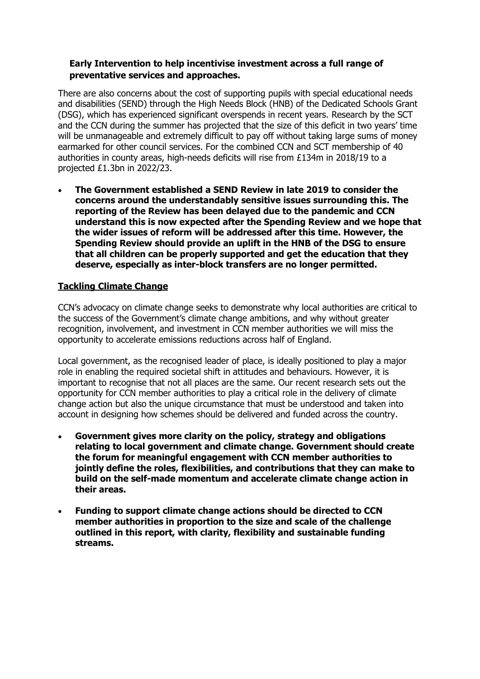#### **Early Intervention to help incentivise investment across a full range of preventative services and approaches.**

There are also concerns about the cost of supporting pupils with special educational needs and disabilities (SEND) through the High Needs Block (HNB) of the Dedicated Schools Grant (DSG), which has experienced significant overspends in recent years. Research by the SCT and the CCN during the summer has projected that the size of this deficit in two years' time will be unmanageable and extremely difficult to pay off without taking large sums of money earmarked for other council services. For the combined CCN and SCT membership of 40 authorities in county areas, high-needs deficits will rise from £134m in 2018/19 to a projected £1.3bn in 2022/23.

• **The Government established a SEND Review in late 2019 to consider the concerns around the understandably sensitive issues surrounding this. The reporting of the Review has been delayed due to the pandemic and CCN understand this is now expected after the Spending Review and we hope that the wider issues of reform will be addressed after this time. However, the Spending Review should provide an uplift in the HNB of the DSG to ensure that all children can be properly supported and get the education that they deserve, especially as inter-block transfers are no longer permitted.** 

## **Tackling Climate Change**

CCN's advocacy on climate change seeks to demonstrate why local authorities are critical to the success of the Government's climate change ambitions, and why without greater recognition, involvement, and investment in CCN member authorities we will miss the opportunity to accelerate emissions reductions across half of England.

Local government, as the recognised leader of place, is ideally positioned to play a major role in enabling the required societal shift in attitudes and behaviours. However, it is important to recognise that not all places are the same. Our recent research sets out the opportunity for CCN member authorities to play a critical role in the delivery of climate change action but also the unique circumstance that must be understood and taken into account in designing how schemes should be delivered and funded across the country.

- **Government gives more clarity on the policy, strategy and obligations relating to local government and climate change. Government should create the forum for meaningful engagement with CCN member authorities to jointly define the roles, flexibilities, and contributions that they can make to build on the self-made momentum and accelerate climate change action in their areas.**
- **Funding to support climate change actions should be directed to CCN member authorities in proportion to the size and scale of the challenge outlined in this report, with clarity, flexibility and sustainable funding streams.**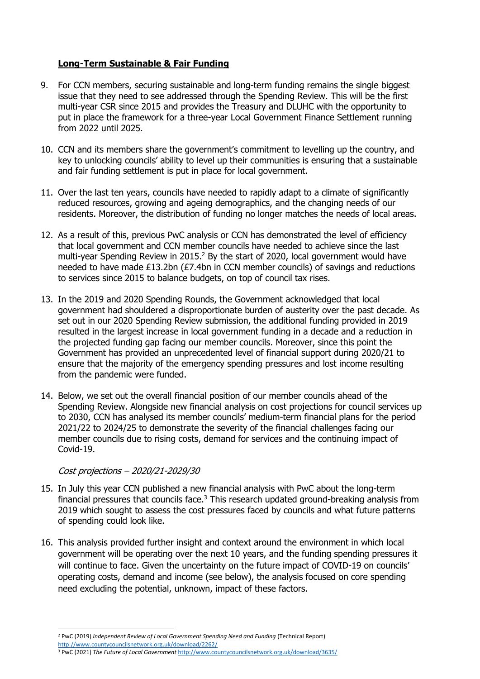## **Long-Term Sustainable & Fair Funding**

- 9. For CCN members, securing sustainable and long-term funding remains the single biggest issue that they need to see addressed through the Spending Review. This will be the first multi-year CSR since 2015 and provides the Treasury and DLUHC with the opportunity to put in place the framework for a three-year Local Government Finance Settlement running from 2022 until 2025.
- 10. CCN and its members share the government's commitment to levelling up the country, and key to unlocking councils' ability to level up their communities is ensuring that a sustainable and fair funding settlement is put in place for local government.
- 11. Over the last ten years, councils have needed to rapidly adapt to a climate of significantly reduced resources, growing and ageing demographics, and the changing needs of our residents. Moreover, the distribution of funding no longer matches the needs of local areas.
- 12. As a result of this, previous PwC analysis or CCN has demonstrated the level of efficiency that local government and CCN member councils have needed to achieve since the last multi-year Spending Review in 2015.<sup>2</sup> By the start of 2020, local government would have needed to have made £13.2bn (£7.4bn in CCN member councils) of savings and reductions to services since 2015 to balance budgets, on top of council tax rises.
- 13. In the 2019 and 2020 Spending Rounds, the Government acknowledged that local government had shouldered a disproportionate burden of austerity over the past decade. As set out in our 2020 Spending Review submission, the additional funding provided in 2019 resulted in the largest increase in local government funding in a decade and a reduction in the projected funding gap facing our member councils. Moreover, since this point the Government has provided an unprecedented level of financial support during 2020/21 to ensure that the majority of the emergency spending pressures and lost income resulting from the pandemic were funded.
- 14. Below, we set out the overall financial position of our member councils ahead of the Spending Review. Alongside new financial analysis on cost projections for council services up to 2030, CCN has analysed its member councils' medium-term financial plans for the period 2021/22 to 2024/25 to demonstrate the severity of the financial challenges facing our member councils due to rising costs, demand for services and the continuing impact of Covid-19.

## Cost projections – 2020/21-2029/30

- 15. In July this year CCN published a new financial analysis with PwC about the long-term financial pressures that councils face.<sup>3</sup> This research updated ground-breaking analysis from 2019 which sought to assess the cost pressures faced by councils and what future patterns of spending could look like.
- 16. This analysis provided further insight and context around the environment in which local government will be operating over the next 10 years, and the funding spending pressures it will continue to face. Given the uncertainty on the future impact of COVID-19 on councils' operating costs, demand and income (see below), the analysis focused on core spending need excluding the potential, unknown, impact of these factors.

<sup>3</sup> PwC (2021) *The Future of Local Government* <http://www.countycouncilsnetwork.org.uk/download/3635/>

<sup>2</sup> PwC (2019) *Independent Review of Local Government Spending Need and Funding* (Technical Report) <http://www.countycouncilsnetwork.org.uk/download/2262/>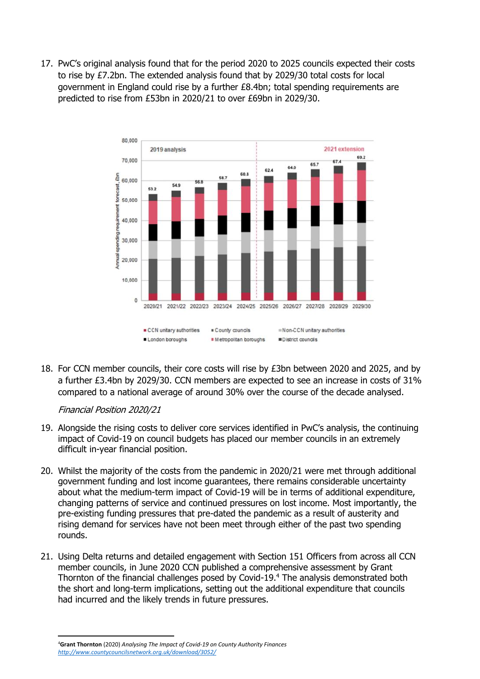17. PwC's original analysis found that for the period 2020 to 2025 councils expected their costs to rise by £7.2bn. The extended analysis found that by 2029/30 total costs for local government in England could rise by a further £8.4bn; total spending requirements are predicted to rise from £53bn in 2020/21 to over £69bn in 2029/30.



18. For CCN member councils, their core costs will rise by £3bn between 2020 and 2025, and by a further £3.4bn by 2029/30. CCN members are expected to see an increase in costs of 31% compared to a national average of around 30% over the course of the decade analysed.

## Financial Position 2020/21

- 19. Alongside the rising costs to deliver core services identified in PwC's analysis, the continuing impact of Covid-19 on council budgets has placed our member councils in an extremely difficult in-year financial position.
- 20. Whilst the majority of the costs from the pandemic in 2020/21 were met through additional government funding and lost income guarantees, there remains considerable uncertainty about what the medium-term impact of Covid-19 will be in terms of additional expenditure, changing patterns of service and continued pressures on lost income. Most importantly, the pre-existing funding pressures that pre-dated the pandemic as a result of austerity and rising demand for services have not been meet through either of the past two spending rounds.
- 21. Using Delta returns and detailed engagement with Section 151 Officers from across all CCN member councils, in June 2020 CCN published a comprehensive assessment by Grant Thornton of the financial challenges posed by Covid-19.<sup>4</sup> The analysis demonstrated both the short and long-term implications, setting out the additional expenditure that councils had incurred and the likely trends in future pressures.

<sup>4</sup>**Grant Thornton** (2020) *Analysing The Impact of Covid-19 on County Authority Finances <http://www.countycouncilsnetwork.org.uk/download/3052/>*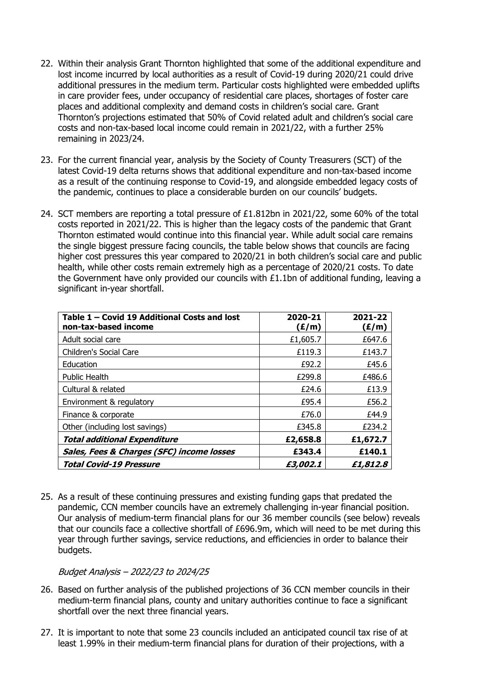- 22. Within their analysis Grant Thornton highlighted that some of the additional expenditure and lost income incurred by local authorities as a result of Covid-19 during 2020/21 could drive additional pressures in the medium term. Particular costs highlighted were embedded uplifts in care provider fees, under occupancy of residential care places, shortages of foster care places and additional complexity and demand costs in children's social care. Grant Thornton's projections estimated that 50% of Covid related adult and children's social care costs and non-tax-based local income could remain in 2021/22, with a further 25% remaining in 2023/24.
- 23. For the current financial year, analysis by the Society of County Treasurers (SCT) of the latest Covid-19 delta returns shows that additional expenditure and non-tax-based income as a result of the continuing response to Covid-19, and alongside embedded legacy costs of the pandemic, continues to place a considerable burden on our councils' budgets.
- 24. SCT members are reporting a total pressure of £1.812bn in 2021/22, some 60% of the total costs reported in 2021/22. This is higher than the legacy costs of the pandemic that Grant Thornton estimated would continue into this financial year. While adult social care remains the single biggest pressure facing councils, the table below shows that councils are facing higher cost pressures this year compared to 2020/21 in both children's social care and public health, while other costs remain extremely high as a percentage of 2020/21 costs. To date the Government have only provided our councils with £1.1bn of additional funding, leaving a significant in-year shortfall.

| Table 1 - Covid 19 Additional Costs and lost<br>non-tax-based income | 2020-21<br>(E/m) | 2021-22<br>(£/m) |
|----------------------------------------------------------------------|------------------|------------------|
| Adult social care                                                    | £1,605.7         | £647.6           |
| Children's Social Care                                               | £119.3           | £143.7           |
| Education                                                            | £92.2            | £45.6            |
| <b>Public Health</b>                                                 | £299.8           | £486.6           |
| Cultural & related                                                   | £24.6            | £13.9            |
| Environment & regulatory                                             | £95.4            | £56.2            |
| Finance & corporate                                                  | £76.0            | £44.9            |
| Other (including lost savings)                                       | £345.8           | £234.2           |
| <b>Total additional Expenditure</b>                                  | £2,658.8         | £1,672.7         |
| Sales, Fees & Charges (SFC) income losses                            | £343.4           | £140.1           |
| <b>Total Covid-19 Pressure</b>                                       | £3,002.1         | £1,812.8         |

25. As a result of these continuing pressures and existing funding gaps that predated the pandemic, CCN member councils have an extremely challenging in-year financial position. Our analysis of medium-term financial plans for our 36 member councils (see below) reveals that our councils face a collective shortfall of £696.9m, which will need to be met during this year through further savings, service reductions, and efficiencies in order to balance their budgets.

#### Budget Analysis – 2022/23 to 2024/25

- 26. Based on further analysis of the published projections of 36 CCN member councils in their medium-term financial plans, county and unitary authorities continue to face a significant shortfall over the next three financial years.
- 27. It is important to note that some 23 councils included an anticipated council tax rise of at least 1.99% in their medium-term financial plans for duration of their projections, with a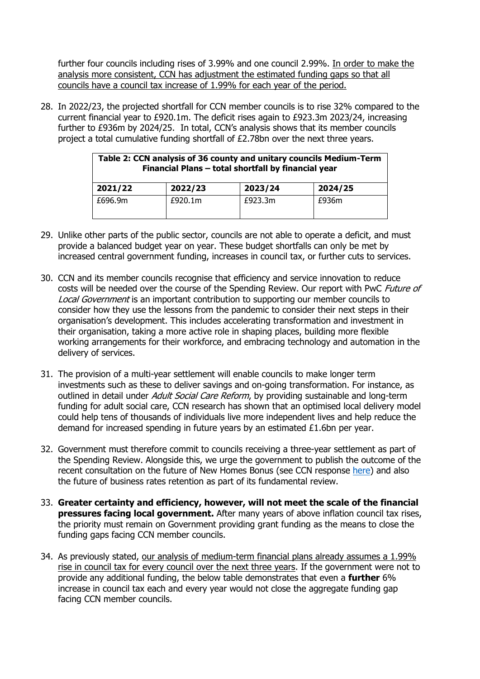further four councils including rises of 3.99% and one council 2.99%. In order to make the analysis more consistent, CCN has adjustment the estimated funding gaps so that all councils have a council tax increase of 1.99% for each year of the period.

28. In 2022/23, the projected shortfall for CCN member councils is to rise 32% compared to the current financial year to £920.1m. The deficit rises again to £923.3m 2023/24, increasing further to £936m by 2024/25. In total, CCN's analysis shows that its member councils project a total cumulative funding shortfall of £2.78bn over the next three years.

| Table 2: CCN analysis of 36 county and unitary councils Medium-Term<br>Financial Plans - total shortfall by financial year |         |         |         |
|----------------------------------------------------------------------------------------------------------------------------|---------|---------|---------|
| 2021/22                                                                                                                    | 2022/23 | 2023/24 | 2024/25 |
| £696.9m                                                                                                                    | £920.1m | £923.3m | £936m   |

- 29. Unlike other parts of the public sector, councils are not able to operate a deficit, and must provide a balanced budget year on year. These budget shortfalls can only be met by increased central government funding, increases in council tax, or further cuts to services.
- 30. CCN and its member councils recognise that efficiency and service innovation to reduce costs will be needed over the course of the Spending Review. Our report with PwC Future of Local Government is an important contribution to supporting our member councils to consider how they use the lessons from the pandemic to consider their next steps in their organisation's development. This includes accelerating transformation and investment in their organisation, taking a more active role in shaping places, building more flexible working arrangements for their workforce, and embracing technology and automation in the delivery of services.
- 31. The provision of a multi-year settlement will enable councils to make longer term investments such as these to deliver savings and on-going transformation. For instance, as outlined in detail under *Adult Social Care Reform*, by providing sustainable and long-term funding for adult social care, CCN research has shown that an optimised local delivery model could help tens of thousands of individuals live more independent lives and help reduce the demand for increased spending in future years by an estimated £1.6bn per year.
- 32. Government must therefore commit to councils receiving a three-year settlement as part of the Spending Review. Alongside this, we urge the government to publish the outcome of the recent consultation on the future of New Homes Bonus (see CCN response [here\)](http://www.countycouncilsnetwork.org.uk/download/3542/) and also the future of business rates retention as part of its fundamental review.
- 33. **Greater certainty and efficiency, however, will not meet the scale of the financial pressures facing local government.** After many years of above inflation council tax rises, the priority must remain on Government providing grant funding as the means to close the funding gaps facing CCN member councils.
- 34. As previously stated, our analysis of medium-term financial plans already assumes a 1.99% rise in council tax for every council over the next three years. If the government were not to provide any additional funding, the below table demonstrates that even a **further** 6% increase in council tax each and every year would not close the aggregate funding gap facing CCN member councils.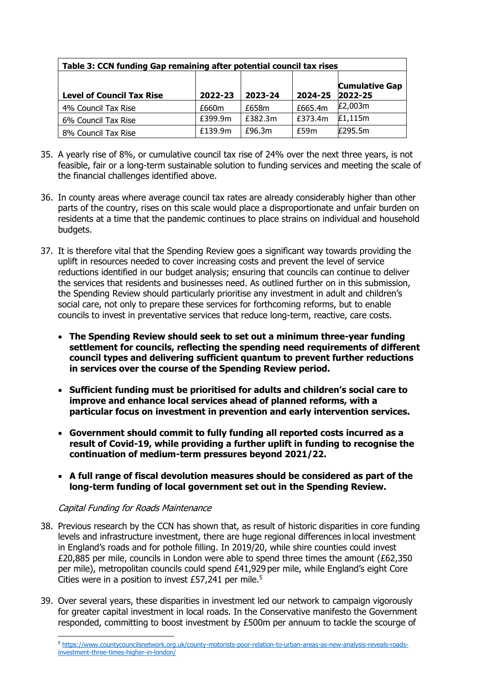| Table 3: CCN funding Gap remaining after potential council tax rises |         |         |         |                                  |
|----------------------------------------------------------------------|---------|---------|---------|----------------------------------|
| <b>Level of Council Tax Rise</b>                                     | 2022-23 | 2023-24 | 2024-25 | <b>Cumulative Gap</b><br>2022-25 |
| 4% Council Tax Rise                                                  | £660m   | £658m   | £665.4m | £2,003m                          |
| 6% Council Tax Rise                                                  | £399.9m | £382.3m | £373.4m | £1,115m                          |
| 8% Council Tax Rise                                                  | £139.9m | £96.3m  | f59m    | F295.5m                          |

- 35. A yearly rise of 8%, or cumulative council tax rise of 24% over the next three years, is not feasible, fair or a long-term sustainable solution to funding services and meeting the scale of the financial challenges identified above.
- 36. In county areas where average council tax rates are already considerably higher than other parts of the country, rises on this scale would place a disproportionate and unfair burden on residents at a time that the pandemic continues to place strains on individual and household budgets.
- 37. It is therefore vital that the Spending Review goes a significant way towards providing the uplift in resources needed to cover increasing costs and prevent the level of service reductions identified in our budget analysis; ensuring that councils can continue to deliver the services that residents and businesses need. As outlined further on in this submission, the Spending Review should particularly prioritise any investment in adult and children's social care, not only to prepare these services for forthcoming reforms, but to enable councils to invest in preventative services that reduce long-term, reactive, care costs.
	- **The Spending Review should seek to set out a minimum three-year funding settlement for councils, reflecting the spending need requirements of different council types and delivering sufficient quantum to prevent further reductions in services over the course of the Spending Review period.**
	- **Sufficient funding must be prioritised for adults and children's social care to improve and enhance local services ahead of planned reforms, with a particular focus on investment in prevention and early intervention services.**
	- **Government should commit to fully funding all reported costs incurred as a result of Covid-19, while providing a further uplift in funding to recognise the continuation of medium-term pressures beyond 2021/22.**
	- **A full range of fiscal devolution measures should be considered as part of the long-term funding of local government set out in the Spending Review.**

## Capital Funding for Roads Maintenance

- 38. Previous research by the CCN has shown that, as result of historic disparities in core funding levels and infrastructure investment, there are huge regional differences in local investment in England's roads and for pothole filling. In 2019/20, while shire counties could invest £20,885 per mile, councils in London were able to spend three times the amount (£62,350 per mile), metropolitan councils could spend £41,929 per mile, while England's eight Core Cities were in a position to invest  $£57,241$  per mile.<sup>5</sup>
- 39. Over several years, these disparities in investment led our network to campaign vigorously for greater capital investment in local roads. In the Conservative manifesto the Government responded, committing to boost investment by £500m per annuum to tackle the scourge of

<sup>5</sup> [https://www.countycouncilsnetwork.org.uk/county-motorists-poor-relation-to-urban-areas-as-new-analysis-reveals-roads](https://www.countycouncilsnetwork.org.uk/county-motorists-poor-relation-to-urban-areas-as-new-analysis-reveals-roads-investment-three-times-higher-in-london/)[investment-three-times-higher-in-london/](https://www.countycouncilsnetwork.org.uk/county-motorists-poor-relation-to-urban-areas-as-new-analysis-reveals-roads-investment-three-times-higher-in-london/)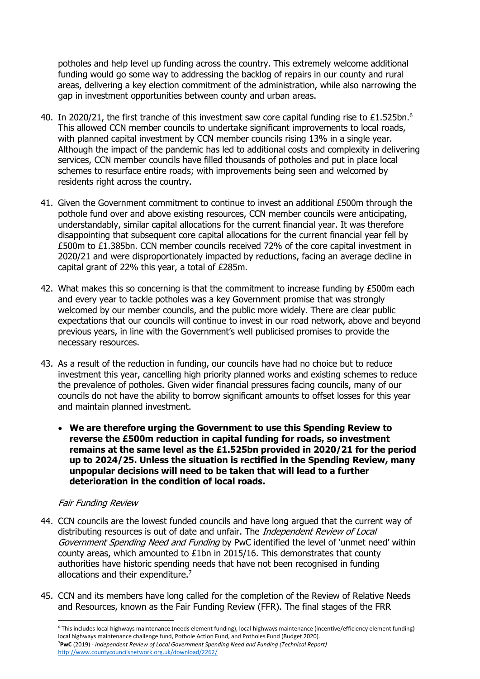potholes and help level up funding across the country. This extremely welcome additional funding would go some way to addressing the backlog of repairs in our county and rural areas, delivering a key election commitment of the administration, while also narrowing the gap in investment opportunities between county and urban areas.

- 40. In 2020/21, the first tranche of this investment saw core capital funding rise to £1.525bn.<sup>6</sup> This allowed CCN member councils to undertake significant improvements to local roads, with planned capital investment by CCN member councils rising 13% in a single year. Although the impact of the pandemic has led to additional costs and complexity in delivering services, CCN member councils have filled thousands of potholes and put in place local schemes to resurface entire roads; with improvements being seen and welcomed by residents right across the country.
- 41. Given the Government commitment to continue to invest an additional £500m through the pothole fund over and above existing resources, CCN member councils were anticipating, understandably, similar capital allocations for the current financial year. It was therefore disappointing that subsequent core capital allocations for the current financial year fell by £500m to £1.385bn. CCN member councils received 72% of the core capital investment in 2020/21 and were disproportionately impacted by reductions, facing an average decline in capital grant of 22% this year, a total of £285m.
- 42. What makes this so concerning is that the commitment to increase funding by £500m each and every year to tackle potholes was a key Government promise that was strongly welcomed by our member councils, and the public more widely. There are clear public expectations that our councils will continue to invest in our road network, above and beyond previous years, in line with the Government's well publicised promises to provide the necessary resources.
- 43. As a result of the reduction in funding, our councils have had no choice but to reduce investment this year, cancelling high priority planned works and existing schemes to reduce the prevalence of potholes. Given wider financial pressures facing councils, many of our councils do not have the ability to borrow significant amounts to offset losses for this year and maintain planned investment.
	- **We are therefore urging the Government to use this Spending Review to reverse the £500m reduction in capital funding for roads, so investment remains at the same level as the £1.525bn provided in 2020/21 for the period up to 2024/25. Unless the situation is rectified in the Spending Review, many unpopular decisions will need to be taken that will lead to a further deterioration in the condition of local roads.**

## Fair Funding Review

- 44. CCN councils are the lowest funded councils and have long argued that the current way of distributing resources is out of date and unfair. The *Independent Review of Local* Government Spending Need and Funding by PwC identified the level of 'unmet need' within county areas, which amounted to £1bn in 2015/16. This demonstrates that county authorities have historic spending needs that have not been recognised in funding allocations and their expenditure.<sup>7</sup>
- 45. CCN and its members have long called for the completion of the Review of Relative Needs and Resources, known as the Fair Funding Review (FFR). The final stages of the FRR

<sup>6</sup> This includes local highways maintenance (needs element funding), local highways maintenance (incentive/efficiency element funding) local highways maintenance challenge fund, Pothole Action Fund, and Potholes Fund (Budget 2020). <sup>7</sup>**PwC** (2019) - *Independent Review of Local Government Spending Need and Funding (Technical Report)* <http://www.countycouncilsnetwork.org.uk/download/2262/>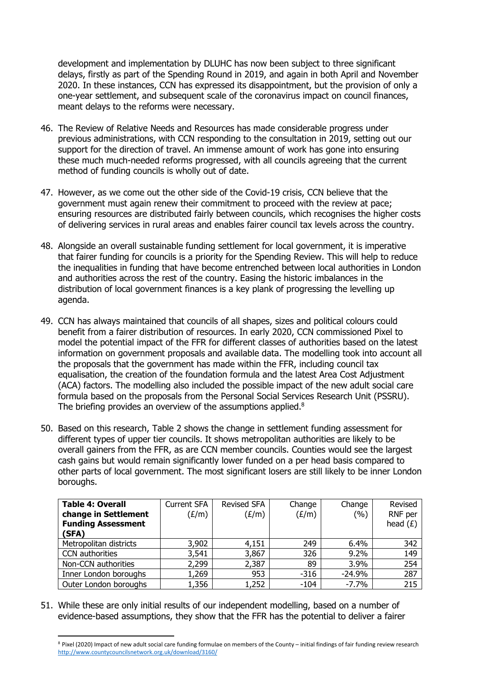development and implementation by DLUHC has now been subject to three significant delays, firstly as part of the Spending Round in 2019, and again in both April and November 2020. In these instances, CCN has expressed its disappointment, but the provision of only a one-year settlement, and subsequent scale of the coronavirus impact on council finances, meant delays to the reforms were necessary.

- 46. The Review of Relative Needs and Resources has made considerable progress under previous administrations, with CCN responding to the consultation in 2019, setting out our support for the direction of travel. An immense amount of work has gone into ensuring these much much-needed reforms progressed, with all councils agreeing that the current method of funding councils is wholly out of date.
- 47. However, as we come out the other side of the Covid-19 crisis, CCN believe that the government must again renew their commitment to proceed with the review at pace; ensuring resources are distributed fairly between councils, which recognises the higher costs of delivering services in rural areas and enables fairer council tax levels across the country.
- 48. Alongside an overall sustainable funding settlement for local government, it is imperative that fairer funding for councils is a priority for the Spending Review. This will help to reduce the inequalities in funding that have become entrenched between local authorities in London and authorities across the rest of the country. Easing the historic imbalances in the distribution of local government finances is a key plank of progressing the levelling up agenda.
- 49. CCN has always maintained that councils of all shapes, sizes and political colours could benefit from a fairer distribution of resources. In early 2020, CCN commissioned Pixel to model the potential impact of the FFR for different classes of authorities based on the latest information on government proposals and available data. The modelling took into account all the proposals that the government has made within the FFR, including council tax equalisation, the creation of the foundation formula and the latest Area Cost Adjustment (ACA) factors. The modelling also included the possible impact of the new adult social care formula based on the proposals from the Personal Social Services Research Unit (PSSRU). The briefing provides an overview of the assumptions applied.<sup>8</sup>
- 50. Based on this research, Table 2 shows the change in settlement funding assessment for different types of upper tier councils. It shows metropolitan authorities are likely to be overall gainers from the FFR, as are CCN member councils. Counties would see the largest cash gains but would remain significantly lower funded on a per head basis compared to other parts of local government. The most significant losers are still likely to be inner London boroughs.

| <b>Table 4: Overall</b><br>change in Settlement<br><b>Funding Assessment</b><br>(SFA) | <b>Current SFA</b><br>(E/m) | <b>Revised SFA</b><br>(E/m) | Change<br>(E/m) | Change<br>(%) | Revised<br>RNF per<br>head $(E)$ |
|---------------------------------------------------------------------------------------|-----------------------------|-----------------------------|-----------------|---------------|----------------------------------|
| Metropolitan districts                                                                | 3,902                       | 4,151                       | 249             | 6.4%          | 342                              |
| <b>CCN</b> authorities                                                                | 3,541                       | 3,867                       | 326             | 9.2%          | 149                              |
| Non-CCN authorities                                                                   | 2,299                       | 2,387                       | 89              | 3.9%          | 254                              |
| Inner London boroughs                                                                 | 1,269                       | 953                         | $-316$          | $-24.9%$      | 287                              |
| Outer London boroughs                                                                 | 1,356                       | 1,252                       | $-104$          | $-7.7%$       | 215                              |

51. While these are only initial results of our independent modelling, based on a number of evidence-based assumptions, they show that the FFR has the potential to deliver a fairer

<sup>8</sup> Pixel (2020) Impact of new adult social care funding formulae on members of the County – initial findings of fair funding review research <http://www.countycouncilsnetwork.org.uk/download/3160/>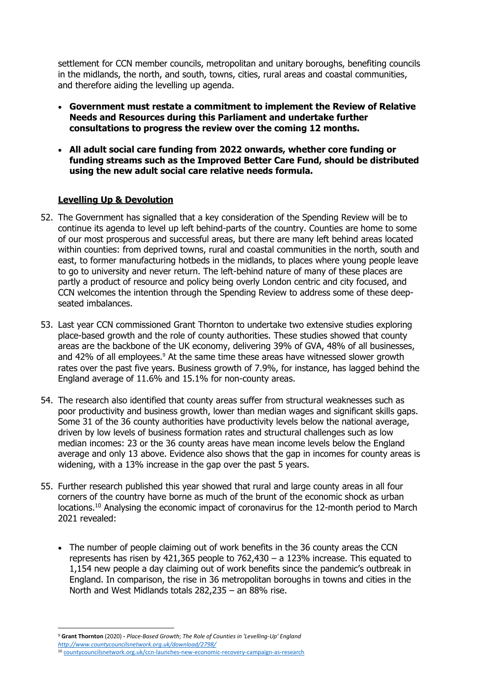settlement for CCN member councils, metropolitan and unitary boroughs, benefiting councils in the midlands, the north, and south, towns, cities, rural areas and coastal communities, and therefore aiding the levelling up agenda.

- **Government must restate a commitment to implement the Review of Relative Needs and Resources during this Parliament and undertake further consultations to progress the review over the coming 12 months.**
- **All adult social care funding from 2022 onwards, whether core funding or funding streams such as the Improved Better Care Fund, should be distributed using the new adult social care relative needs formula.**

## **Levelling Up & Devolution**

- 52. The Government has signalled that a key consideration of the Spending Review will be to continue its agenda to level up left behind-parts of the country. Counties are home to some of our most prosperous and successful areas, but there are many left behind areas located within counties: from deprived towns, rural and coastal communities in the north, south and east, to former manufacturing hotbeds in the midlands, to places where young people leave to go to university and never return. The left-behind nature of many of these places are partly a product of resource and policy being overly London centric and city focused, and CCN welcomes the intention through the Spending Review to address some of these deepseated imbalances.
- 53. Last year CCN commissioned Grant Thornton to undertake two extensive studies exploring place-based growth and the role of county authorities. These studies showed that county areas are the backbone of the UK economy, delivering 39% of GVA, 48% of all businesses, and 42% of all employees.<sup>9</sup> At the same time these areas have witnessed slower growth rates over the past five years. Business growth of 7.9%, for instance, has lagged behind the England average of 11.6% and 15.1% for non-county areas.
- 54. The research also identified that county areas suffer from structural weaknesses such as poor productivity and business growth, lower than median wages and significant skills gaps. Some 31 of the 36 county authorities have productivity levels below the national average, driven by low levels of business formation rates and structural challenges such as low median incomes: 23 or the 36 county areas have mean income levels below the England average and only 13 above. Evidence also shows that the gap in incomes for county areas is widening, with a 13% increase in the gap over the past 5 years.
- 55. Further research published this year showed that rural and large county areas in all four corners of the country have borne as much of the brunt of the economic shock as urban locations.<sup>10</sup> Analysing the economic impact of coronavirus for the 12-month period to March 2021 revealed:
	- The number of people claiming out of work benefits in the 36 county areas the CCN represents has risen by 421,365 people to 762,430 – a 123% increase. This equated to 1,154 new people a day claiming out of work benefits since the pandemic's outbreak in England. In comparison, the rise in 36 metropolitan boroughs in towns and cities in the North and West Midlands totals 282,235 – an 88% rise.

<sup>9</sup> **Grant Thornton** (2020) **-** *Place-Based Growth*; *The Role of Counties in 'Levelling-Up' England <http://www.countycouncilsnetwork.org.uk/download/2798/>*

<sup>10</sup> [countycouncilsnetwork.org.uk/ccn-launches-new-economic-recovery-campaign-as-research](http://www.countycouncilsnetwork.org.uk/ccn-launches-new-economic-recovery-campaign-as-research)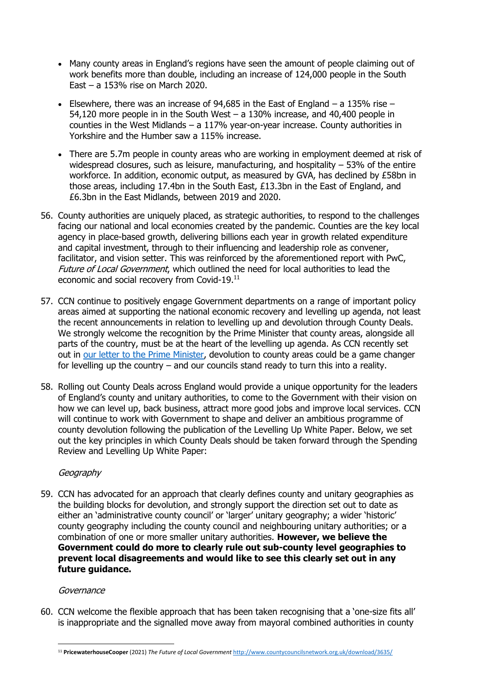- Many county areas in England's regions have seen the amount of people claiming out of work benefits more than double, including an increase of 124,000 people in the South East – a 153% rise on March 2020.
- Elsewhere, there was an increase of 94,685 in the East of England  $-$  a 135% rise  $-$ 54,120 more people in in the South West – a 130% increase, and 40,400 people in counties in the West Midlands – a 117% year-on-year increase. County authorities in Yorkshire and the Humber saw a 115% increase.
- There are 5.7m people in county areas who are working in employment deemed at risk of widespread closures, such as leisure, manufacturing, and hospitality – 53% of the entire workforce. In addition, economic output, as measured by GVA, has declined by £58bn in those areas, including 17.4bn in the South East, £13.3bn in the East of England, and £6.3bn in the East Midlands, between 2019 and 2020.
- 56. County authorities are uniquely placed, as strategic authorities, to respond to the challenges facing our national and local economies created by the pandemic. Counties are the key local agency in place-based growth, delivering billions each year in growth related expenditure and capital investment, through to their influencing and leadership role as convener, facilitator, and vision setter. This was reinforced by the aforementioned report with PwC, Future of Local Government, which outlined the need for local authorities to lead the economic and social recovery from Covid-19.<sup>11</sup>
- 57. CCN continue to positively engage Government departments on a range of important policy areas aimed at supporting the national economic recovery and levelling up agenda, not least the recent announcements in relation to levelling up and devolution through County Deals. We strongly welcome the recognition by the Prime Minister that county areas, alongside all parts of the country, must be at the heart of the levelling up agenda. As CCN recently set out in [our letter to the Prime Minister,](http://www.countycouncilsnetwork.org.uk/download/3642/) devolution to county areas could be a game changer for levelling up the country – and our councils stand ready to turn this into a reality.
- 58. Rolling out County Deals across England would provide a unique opportunity for the leaders of England's county and unitary authorities, to come to the Government with their vision on how we can level up, back business, attract more good jobs and improve local services. CCN will continue to work with Government to shape and deliver an ambitious programme of county devolution following the publication of the Levelling Up White Paper. Below, we set out the key principles in which County Deals should be taken forward through the Spending Review and Levelling Up White Paper:

## **Geography**

59. CCN has advocated for an approach that clearly defines county and unitary geographies as the building blocks for devolution, and strongly support the direction set out to date as either an 'administrative county council' or 'larger' unitary geography; a wider 'historic' county geography including the county council and neighbouring unitary authorities; or a combination of one or more smaller unitary authorities. **However, we believe the Government could do more to clearly rule out sub-county level geographies to prevent local disagreements and would like to see this clearly set out in any future guidance.** 

#### Governance

60. CCN welcome the flexible approach that has been taken recognising that a 'one-size fits all' is inappropriate and the signalled move away from mayoral combined authorities in county

<sup>11</sup> **PricewaterhouseCooper** (2021) *The Future of Local Government* <http://www.countycouncilsnetwork.org.uk/download/3635/>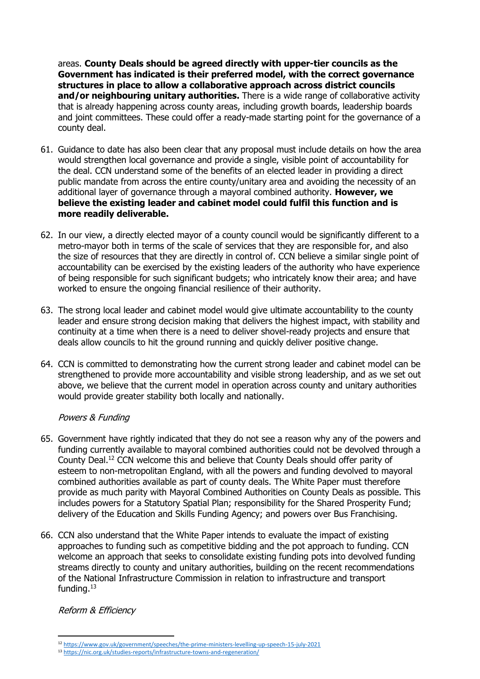areas. **County Deals should be agreed directly with upper-tier councils as the Government has indicated is their preferred model, with the correct governance structures in place to allow a collaborative approach across district councils and/or neighbouring unitary authorities.** There is a wide range of collaborative activity that is already happening across county areas, including growth boards, leadership boards and joint committees. These could offer a ready-made starting point for the governance of a county deal.

- 61. Guidance to date has also been clear that any proposal must include details on how the area would strengthen local governance and provide a single, visible point of accountability for the deal. CCN understand some of the benefits of an elected leader in providing a direct public mandate from across the entire county/unitary area and avoiding the necessity of an additional layer of governance through a mayoral combined authority. **However, we believe the existing leader and cabinet model could fulfil this function and is more readily deliverable.**
- 62. In our view, a directly elected mayor of a county council would be significantly different to a metro-mayor both in terms of the scale of services that they are responsible for, and also the size of resources that they are directly in control of. CCN believe a similar single point of accountability can be exercised by the existing leaders of the authority who have experience of being responsible for such significant budgets; who intricately know their area; and have worked to ensure the ongoing financial resilience of their authority.
- 63. The strong local leader and cabinet model would give ultimate accountability to the county leader and ensure strong decision making that delivers the highest impact, with stability and continuity at a time when there is a need to deliver shovel-ready projects and ensure that deals allow councils to hit the ground running and quickly deliver positive change.
- 64. CCN is committed to demonstrating how the current strong leader and cabinet model can be strengthened to provide more accountability and visible strong leadership, and as we set out above, we believe that the current model in operation across county and unitary authorities would provide greater stability both locally and nationally.

## Powers & Funding

- 65. Government have rightly indicated that they do not see a reason why any of the powers and funding currently available to mayoral combined authorities could not be devolved through a County Deal.<sup>12</sup> CCN welcome this and believe that County Deals should offer parity of esteem to non-metropolitan England, with all the powers and funding devolved to mayoral combined authorities available as part of county deals. The White Paper must therefore provide as much parity with Mayoral Combined Authorities on County Deals as possible. This includes powers for a Statutory Spatial Plan; responsibility for the Shared Prosperity Fund; delivery of the Education and Skills Funding Agency; and powers over Bus Franchising.
- 66. CCN also understand that the White Paper intends to evaluate the impact of existing approaches to funding such as competitive bidding and the pot approach to funding. CCN welcome an approach that seeks to consolidate existing funding pots into devolved funding streams directly to county and unitary authorities, building on the recent recommendations of the National Infrastructure Commission in relation to infrastructure and transport funding.<sup>13</sup>

Reform & Efficiency

<sup>12</sup> <https://www.gov.uk/government/speeches/the-prime-ministers-levelling-up-speech-15-july-2021>

<sup>13</sup> <https://nic.org.uk/studies-reports/infrastructure-towns-and-regeneration/>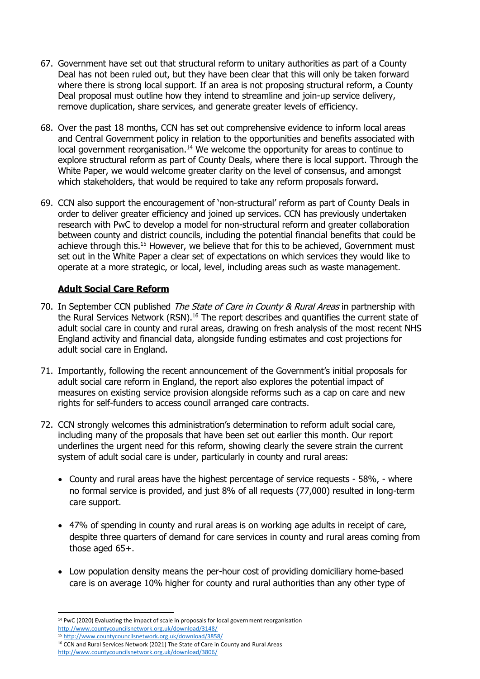- 67. Government have set out that structural reform to unitary authorities as part of a County Deal has not been ruled out, but they have been clear that this will only be taken forward where there is strong local support. If an area is not proposing structural reform, a County Deal proposal must outline how they intend to streamline and join-up service delivery, remove duplication, share services, and generate greater levels of efficiency.
- 68. Over the past 18 months, CCN has set out comprehensive evidence to inform local areas and Central Government policy in relation to the opportunities and benefits associated with local government reorganisation.<sup>14</sup> We welcome the opportunity for areas to continue to explore structural reform as part of County Deals, where there is local support. Through the White Paper, we would welcome greater clarity on the level of consensus, and amongst which stakeholders, that would be required to take any reform proposals forward.
- 69. CCN also support the encouragement of 'non-structural' reform as part of County Deals in order to deliver greater efficiency and joined up services. CCN has previously undertaken research with PwC to develop a model for non-structural reform and greater collaboration between county and district councils, including the potential financial benefits that could be achieve through this.<sup>15</sup> However, we believe that for this to be achieved, Government must set out in the White Paper a clear set of expectations on which services they would like to operate at a more strategic, or local, level, including areas such as waste management.

## **Adult Social Care Reform**

- 70. In September CCN published The State of Care in County & Rural Areas in partnership with the Rural Services Network (RSN).<sup>16</sup> The report describes and quantifies the current state of adult social care in county and rural areas, drawing on fresh analysis of the most recent NHS England activity and financial data, alongside funding estimates and cost projections for adult social care in England.
- 71. Importantly, following the recent announcement of the Government's initial proposals for adult social care reform in England, the report also explores the potential impact of measures on existing service provision alongside reforms such as a cap on care and new rights for self-funders to access council arranged care contracts.
- 72. CCN strongly welcomes this administration's determination to reform adult social care, including many of the proposals that have been set out earlier this month. Our report underlines the urgent need for this reform, showing clearly the severe strain the current system of adult social care is under, particularly in county and rural areas:
	- County and rural areas have the highest percentage of service requests 58%, where no formal service is provided, and just 8% of all requests (77,000) resulted in long-term care support.
	- 47% of spending in county and rural areas is on working age adults in receipt of care, despite three quarters of demand for care services in county and rural areas coming from those aged 65+.
	- Low population density means the per-hour cost of providing domiciliary home-based care is on average 10% higher for county and rural authorities than any other type of

<sup>15</sup> <http://www.countycouncilsnetwork.org.uk/download/3858/>

<sup>&</sup>lt;sup>14</sup> PwC (2020) Evaluating the impact of scale in proposals for local government reorganisation <http://www.countycouncilsnetwork.org.uk/download/3148/>

<sup>&</sup>lt;sup>16</sup> CCN and Rural Services Network (2021) The State of Care in County and Rural Areas <http://www.countycouncilsnetwork.org.uk/download/3806/>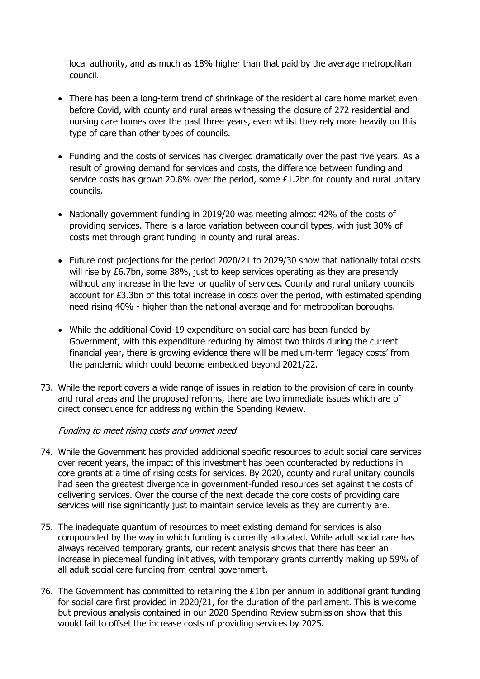local authority, and as much as 18% higher than that paid by the average metropolitan council.

- There has been a long-term trend of shrinkage of the residential care home market even before Covid, with county and rural areas witnessing the closure of 272 residential and nursing care homes over the past three years, even whilst they rely more heavily on this type of care than other types of councils.
- Funding and the costs of services has diverged dramatically over the past five years. As a result of growing demand for services and costs, the difference between funding and service costs has grown 20.8% over the period, some £1.2bn for county and rural unitary councils.
- Nationally government funding in 2019/20 was meeting almost 42% of the costs of providing services. There is a large variation between council types, with just 30% of costs met through grant funding in county and rural areas.
- Future cost projections for the period 2020/21 to 2029/30 show that nationally total costs will rise by £6.7bn, some 38%, just to keep services operating as they are presently without any increase in the level or quality of services. County and rural unitary councils account for £3.3bn of this total increase in costs over the period, with estimated spending need rising 40% - higher than the national average and for metropolitan boroughs.
- While the additional Covid-19 expenditure on social care has been funded by Government, with this expenditure reducing by almost two thirds during the current financial year, there is growing evidence there will be medium-term 'legacy costs' from the pandemic which could become embedded beyond 2021/22.
- 73. While the report covers a wide range of issues in relation to the provision of care in county and rural areas and the proposed reforms, there are two immediate issues which are of direct consequence for addressing within the Spending Review.

#### Funding to meet rising costs and unmet need

- 74. While the Government has provided additional specific resources to adult social care services over recent years, the impact of this investment has been counteracted by reductions in core grants at a time of rising costs for services. By 2020, county and rural unitary councils had seen the greatest divergence in government-funded resources set against the costs of delivering services. Over the course of the next decade the core costs of providing care services will rise significantly just to maintain service levels as they are currently are.
- 75. The inadequate quantum of resources to meet existing demand for services is also compounded by the way in which funding is currently allocated. While adult social care has always received temporary grants, our recent analysis shows that there has been an increase in piecemeal funding initiatives, with temporary grants currently making up 59% of all adult social care funding from central government.
- 76. The Government has committed to retaining the  $E1$ bn per annum in additional grant funding for social care first provided in 2020/21, for the duration of the parliament. This is welcome but previous analysis contained in our 2020 Spending Review submission show that this would fail to offset the increase costs of providing services by 2025.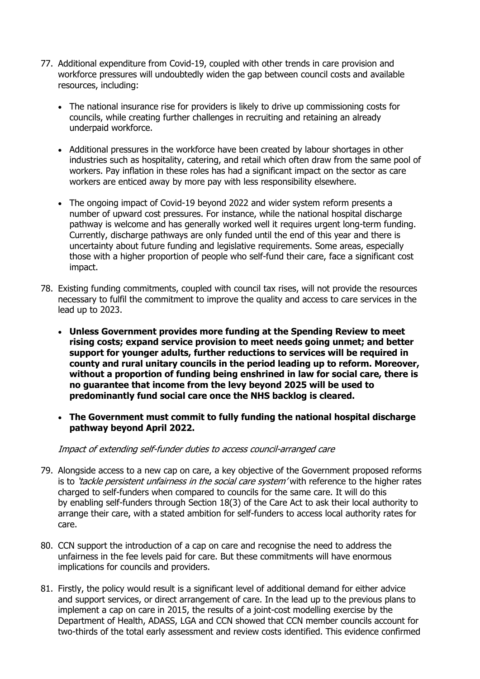- 77. Additional expenditure from Covid-19, coupled with other trends in care provision and workforce pressures will undoubtedly widen the gap between council costs and available resources, including:
	- The national insurance rise for providers is likely to drive up commissioning costs for councils, while creating further challenges in recruiting and retaining an already underpaid workforce.
	- Additional pressures in the workforce have been created by labour shortages in other industries such as hospitality, catering, and retail which often draw from the same pool of workers. Pay inflation in these roles has had a significant impact on the sector as care workers are enticed away by more pay with less responsibility elsewhere.
	- The ongoing impact of Covid-19 beyond 2022 and wider system reform presents a number of upward cost pressures. For instance, while the national hospital discharge pathway is welcome and has generally worked well it requires urgent long-term funding. Currently, discharge pathways are only funded until the end of this year and there is uncertainty about future funding and legislative requirements. Some areas, especially those with a higher proportion of people who self-fund their care, face a significant cost impact.
- 78. Existing funding commitments, coupled with council tax rises, will not provide the resources necessary to fulfil the commitment to improve the quality and access to care services in the lead up to 2023.
	- **Unless Government provides more funding at the Spending Review to meet rising costs; expand service provision to meet needs going unmet; and better support for younger adults, further reductions to services will be required in county and rural unitary councils in the period leading up to reform. Moreover, without a proportion of funding being enshrined in law for social care, there is no guarantee that income from the levy beyond 2025 will be used to predominantly fund social care once the NHS backlog is cleared.**
	- **The Government must commit to fully funding the national hospital discharge pathway beyond April 2022.**

#### Impact of extending self-funder duties to access council-arranged care

- 79. Alongside access to a new cap on care, a key objective of the Government proposed reforms is to *'tackle persistent unfairness in the social care system'* with reference to the higher rates charged to self-funders when compared to councils for the same care. It will do this by enabling self-funders through Section 18(3) of the Care Act to ask their local authority to arrange their care, with a stated ambition for self-funders to access local authority rates for care.
- 80. CCN support the introduction of a cap on care and recognise the need to address the unfairness in the fee levels paid for care. But these commitments will have enormous implications for councils and providers.
- 81. Firstly, the policy would result is a significant level of additional demand for either advice and support services, or direct arrangement of care. In the lead up to the previous plans to implement a cap on care in 2015, the results of a joint-cost modelling exercise by the Department of Health, ADASS, LGA and CCN showed that CCN member councils account for two-thirds of the total early assessment and review costs identified. This evidence confirmed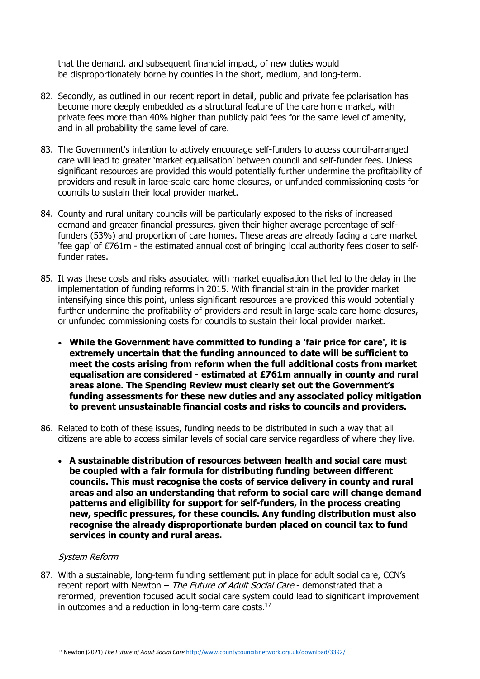that the demand, and subsequent financial impact, of new duties would be disproportionately borne by counties in the short, medium, and long-term.

- 82. Secondly, as outlined in our recent report in detail, public and private fee polarisation has become more deeply embedded as a structural feature of the care home market, with private fees more than 40% higher than publicly paid fees for the same level of amenity, and in all probability the same level of care.
- 83. The Government's intention to actively encourage self-funders to access council-arranged care will lead to greater 'market equalisation' between council and self-funder fees. Unless significant resources are provided this would potentially further undermine the profitability of providers and result in large-scale care home closures, or unfunded commissioning costs for councils to sustain their local provider market.
- 84. County and rural unitary councils will be particularly exposed to the risks of increased demand and greater financial pressures, given their higher average percentage of selffunders (53%) and proportion of care homes. These areas are already facing a care market 'fee gap' of £761m - the estimated annual cost of bringing local authority fees closer to selffunder rates.
- 85. It was these costs and risks associated with market equalisation that led to the delay in the implementation of funding reforms in 2015. With financial strain in the provider market intensifying since this point, unless significant resources are provided this would potentially further undermine the profitability of providers and result in large-scale care home closures, or unfunded commissioning costs for councils to sustain their local provider market.
	- **While the Government have committed to funding a 'fair price for care', it is extremely uncertain that the funding announced to date will be sufficient to meet the costs arising from reform when the full additional costs from market equalisation are considered - estimated at £761m annually in county and rural areas alone. The Spending Review must clearly set out the Government's funding assessments for these new duties and any associated policy mitigation to prevent unsustainable financial costs and risks to councils and providers.**
- 86. Related to both of these issues, funding needs to be distributed in such a way that all citizens are able to access similar levels of social care service regardless of where they live.
	- **A sustainable distribution of resources between health and social care must be coupled with a fair formula for distributing funding between different councils. This must recognise the costs of service delivery in county and rural areas and also an understanding that reform to social care will change demand patterns and eligibility for support for self-funders, in the process creating new, specific pressures, for these councils. Any funding distribution must also recognise the already disproportionate burden placed on council tax to fund services in county and rural areas.**

#### System Reform

87. With a sustainable, long-term funding settlement put in place for adult social care, CCN's recent report with Newton - The Future of Adult Social Care - demonstrated that a reformed, prevention focused adult social care system could lead to significant improvement in outcomes and a reduction in long-term care costs.<sup>17</sup>

<sup>17</sup> Newton (2021) *The Future of Adult Social Care* <http://www.countycouncilsnetwork.org.uk/download/3392/>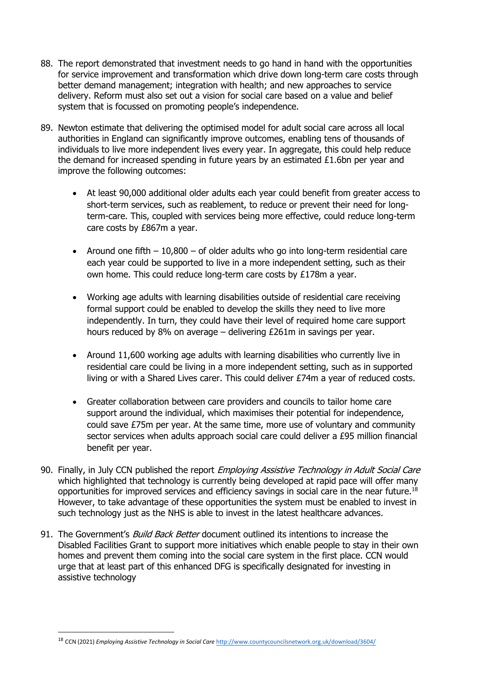- 88. The report demonstrated that investment needs to go hand in hand with the opportunities for service improvement and transformation which drive down long-term care costs through better demand management; integration with health; and new approaches to service delivery. Reform must also set out a vision for social care based on a value and belief system that is focussed on promoting people's independence.
- 89. Newton estimate that delivering the optimised model for adult social care across all local authorities in England can significantly improve outcomes, enabling tens of thousands of individuals to live more independent lives every year. In aggregate, this could help reduce the demand for increased spending in future years by an estimated  $£1.6$ bn per year and improve the following outcomes:
	- At least 90,000 additional older adults each year could benefit from greater access to short-term services, such as reablement, to reduce or prevent their need for longterm-care. This, coupled with services being more effective, could reduce long-term care costs by £867m a year.
	- Around one fifth  $-10,800 -$  of older adults who go into long-term residential care each year could be supported to live in a more independent setting, such as their own home. This could reduce long-term care costs by £178m a year.
	- Working age adults with learning disabilities outside of residential care receiving formal support could be enabled to develop the skills they need to live more independently. In turn, they could have their level of required home care support hours reduced by 8% on average – delivering £261m in savings per year.
	- Around 11,600 working age adults with learning disabilities who currently live in residential care could be living in a more independent setting, such as in supported living or with a Shared Lives carer. This could deliver £74m a year of reduced costs.
	- Greater collaboration between care providers and councils to tailor home care support around the individual, which maximises their potential for independence, could save £75m per year. At the same time, more use of voluntary and community sector services when adults approach social care could deliver a £95 million financial benefit per year.
- 90. Finally, in July CCN published the report *Employing Assistive Technology in Adult Social Care* which highlighted that technology is currently being developed at rapid pace will offer many opportunities for improved services and efficiency savings in social care in the near future.<sup>18</sup> However, to take advantage of these opportunities the system must be enabled to invest in such technology just as the NHS is able to invest in the latest healthcare advances.
- 91. The Government's *Build Back Better* document outlined its intentions to increase the Disabled Facilities Grant to support more initiatives which enable people to stay in their own homes and prevent them coming into the social care system in the first place. CCN would urge that at least part of this enhanced DFG is specifically designated for investing in assistive technology

<sup>18</sup> CCN (2021) *Employing Assistive Technology in Social Care* <http://www.countycouncilsnetwork.org.uk/download/3604/>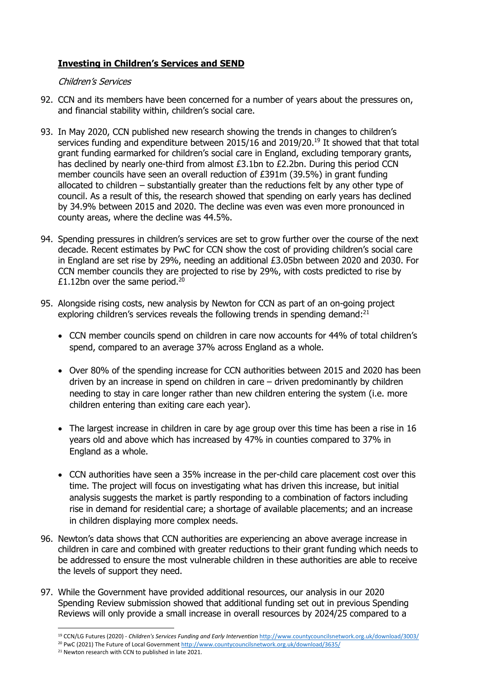## **Investing in Children's Services and SEND**

#### Children's Services

- 92. CCN and its members have been concerned for a number of years about the pressures on, and financial stability within, children's social care.
- 93. In May 2020, CCN published new research showing the trends in changes to children's services funding and expenditure between 2015/16 and 2019/20.<sup>19</sup> It showed that that total grant funding earmarked for children's social care in England, excluding temporary grants, has declined by nearly one-third from almost £3.1bn to £2.2bn. During this period CCN member councils have seen an overall reduction of £391m (39.5%) in grant funding allocated to children – substantially greater than the reductions felt by any other type of council. As a result of this, the research showed that spending on early years has declined by 34.9% between 2015 and 2020. The decline was even was even more pronounced in county areas, where the decline was 44.5%.
- 94. Spending pressures in children's services are set to grow further over the course of the next decade. Recent estimates by PwC for CCN show the cost of providing children's social care in England are set rise by 29%, needing an additional £3.05bn between 2020 and 2030. For CCN member councils they are projected to rise by 29%, with costs predicted to rise by £1.12bn over the same period. $20$
- 95. Alongside rising costs, new analysis by Newton for CCN as part of an on-going project exploring children's services reveals the following trends in spending demand:<sup>21</sup>
	- CCN member councils spend on children in care now accounts for 44% of total children's spend, compared to an average 37% across England as a whole.
	- Over 80% of the spending increase for CCN authorities between 2015 and 2020 has been driven by an increase in spend on children in care – driven predominantly by children needing to stay in care longer rather than new children entering the system (i.e. more children entering than exiting care each year).
	- The largest increase in children in care by age group over this time has been a rise in 16 years old and above which has increased by 47% in counties compared to 37% in England as a whole.
	- CCN authorities have seen a 35% increase in the per-child care placement cost over this time. The project will focus on investigating what has driven this increase, but initial analysis suggests the market is partly responding to a combination of factors including rise in demand for residential care; a shortage of available placements; and an increase in children displaying more complex needs.
- 96. Newton's data shows that CCN authorities are experiencing an above average increase in children in care and combined with greater reductions to their grant funding which needs to be addressed to ensure the most vulnerable children in these authorities are able to receive the levels of support they need.
- 97. While the Government have provided additional resources, our analysis in our 2020 Spending Review submission showed that additional funding set out in previous Spending Reviews will only provide a small increase in overall resources by 2024/25 compared to a

<sup>19</sup> CCN/LG Futures (2020) - *Children's Services Funding and Early Intervention* <http://www.countycouncilsnetwork.org.uk/download/3003/>

<sup>&</sup>lt;sup>20</sup> PwC (2021) The Future of Local Governmen[t http://www.countycouncilsnetwork.org.uk/download/3635/](http://www.countycouncilsnetwork.org.uk/download/3635/)

<sup>&</sup>lt;sup>21</sup> Newton research with CCN to published in late 2021.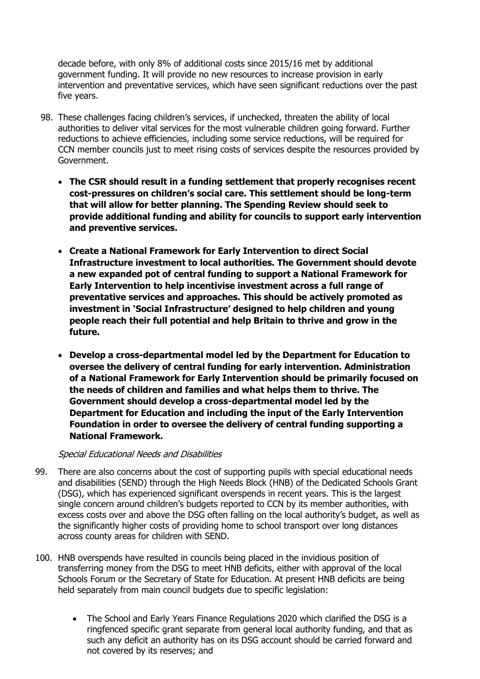decade before, with only 8% of additional costs since 2015/16 met by additional government funding. It will provide no new resources to increase provision in early intervention and preventative services, which have seen significant reductions over the past five years.

- 98. These challenges facing children's services, if unchecked, threaten the ability of local authorities to deliver vital services for the most vulnerable children going forward. Further reductions to achieve efficiencies, including some service reductions, will be required for CCN member councils just to meet rising costs of services despite the resources provided by Government.
	- **The CSR should result in a funding settlement that properly recognises recent cost-pressures on children's social care. This settlement should be long-term that will allow for better planning. The Spending Review should seek to provide additional funding and ability for councils to support early intervention and preventive services.**
	- **Create a National Framework for Early Intervention to direct Social Infrastructure investment to local authorities. The Government should devote a new expanded pot of central funding to support a National Framework for Early Intervention to help incentivise investment across a full range of preventative services and approaches. This should be actively promoted as investment in 'Social Infrastructure' designed to help children and young people reach their full potential and help Britain to thrive and grow in the future.**
	- **Develop a cross-departmental model led by the Department for Education to oversee the delivery of central funding for early intervention. Administration of a National Framework for Early Intervention should be primarily focused on the needs of children and families and what helps them to thrive. The Government should develop a cross-departmental model led by the Department for Education and including the input of the Early Intervention Foundation in order to oversee the delivery of central funding supporting a National Framework.**

#### Special Educational Needs and Disabilities

- 99. There are also concerns about the cost of supporting pupils with special educational needs and disabilities (SEND) through the High Needs Block (HNB) of the Dedicated Schools Grant (DSG), which has experienced significant overspends in recent years. This is the largest single concern around children's budgets reported to CCN by its member authorities, with excess costs over and above the DSG often falling on the local authority's budget, as well as the significantly higher costs of providing home to school transport over long distances across county areas for children with SEND.
- 100. HNB overspends have resulted in councils being placed in the invidious position of transferring money from the DSG to meet HNB deficits, either with approval of the local Schools Forum or the Secretary of State for Education. At present HNB deficits are being held separately from main council budgets due to specific legislation:
	- The School and Early Years Finance Regulations 2020 which clarified the DSG is a ringfenced specific grant separate from general local authority funding, and that as such any deficit an authority has on its DSG account should be carried forward and not covered by its reserves; and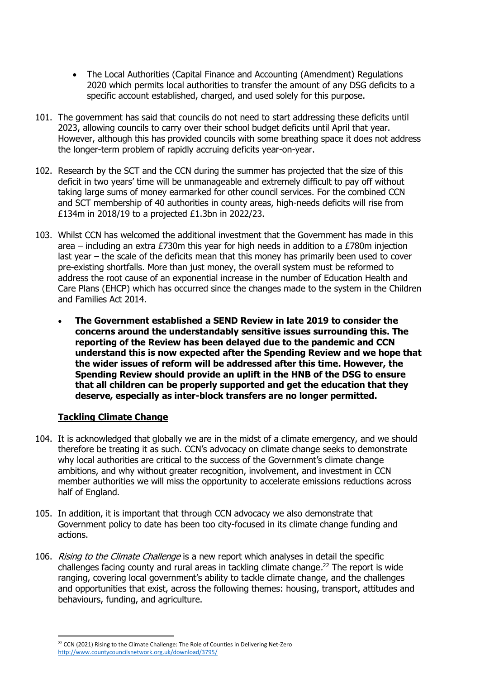- The Local Authorities (Capital Finance and Accounting (Amendment) Regulations 2020 which permits local authorities to transfer the amount of any DSG deficits to a specific account established, charged, and used solely for this purpose.
- 101. The government has said that councils do not need to start addressing these deficits until 2023, allowing councils to carry over their school budget deficits until April that year. However, although this has provided councils with some breathing space it does not address the longer-term problem of rapidly accruing deficits year-on-year.
- 102. Research by the SCT and the CCN during the summer has projected that the size of this deficit in two years' time will be unmanageable and extremely difficult to pay off without taking large sums of money earmarked for other council services. For the combined CCN and SCT membership of 40 authorities in county areas, high-needs deficits will rise from £134m in 2018/19 to a projected £1.3bn in 2022/23.
- 103. Whilst CCN has welcomed the additional investment that the Government has made in this area – including an extra £730m this year for high needs in addition to a £780m injection last year – the scale of the deficits mean that this money has primarily been used to cover pre-existing shortfalls. More than just money, the overall system must be reformed to address the root cause of an exponential increase in the number of Education Health and Care Plans (EHCP) which has occurred since the changes made to the system in the Children and Families Act 2014.
	- **The Government established a SEND Review in late 2019 to consider the concerns around the understandably sensitive issues surrounding this. The reporting of the Review has been delayed due to the pandemic and CCN understand this is now expected after the Spending Review and we hope that the wider issues of reform will be addressed after this time. However, the Spending Review should provide an uplift in the HNB of the DSG to ensure that all children can be properly supported and get the education that they deserve, especially as inter-block transfers are no longer permitted.**

## **Tackling Climate Change**

- 104. It is acknowledged that globally we are in the midst of a climate emergency, and we should therefore be treating it as such. CCN's advocacy on climate change seeks to demonstrate why local authorities are critical to the success of the Government's climate change ambitions, and why without greater recognition, involvement, and investment in CCN member authorities we will miss the opportunity to accelerate emissions reductions across half of England.
- 105. In addition, it is important that through CCN advocacy we also demonstrate that Government policy to date has been too city-focused in its climate change funding and actions.
- 106. *Rising to the Climate Challenge* is a new report which analyses in detail the specific challenges facing county and rural areas in tackling climate change. <sup>22</sup> The report is wide ranging, covering local government's ability to tackle climate change, and the challenges and opportunities that exist, across the following themes: housing, transport, attitudes and behaviours, funding, and agriculture.

<sup>&</sup>lt;sup>22</sup> CCN (2021) Rising to the Climate Challenge: The Role of Counties in Delivering Net-Zero <http://www.countycouncilsnetwork.org.uk/download/3795/>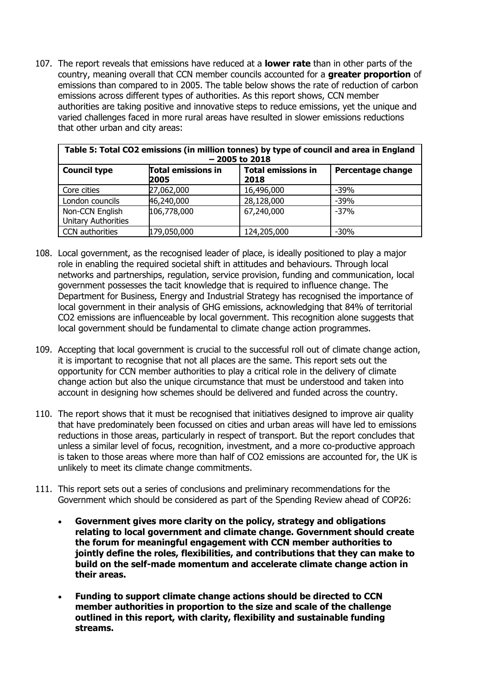107. The report reveals that emissions have reduced at a **lower rate** than in other parts of the country, meaning overall that CCN member councils accounted for a **greater proportion** of emissions than compared to in 2005. The table below shows the rate of reduction of carbon emissions across different types of authorities. As this report shows, CCN member authorities are taking positive and innovative steps to reduce emissions, yet the unique and varied challenges faced in more rural areas have resulted in slower emissions reductions that other urban and city areas:

| Table 5: Total CO2 emissions (in million tonnes) by type of council and area in England<br>$-2005$ to 2018 |                                   |                                   |                   |
|------------------------------------------------------------------------------------------------------------|-----------------------------------|-----------------------------------|-------------------|
| <b>Council type</b>                                                                                        | <b>Total emissions in</b><br>2005 | <b>Total emissions in</b><br>2018 | Percentage change |
| Core cities                                                                                                | 27,062,000                        | 16,496,000                        | $-39%$            |
| London councils                                                                                            | 46,240,000                        | 28,128,000                        | $-39%$            |
| Non-CCN English<br><b>Unitary Authorities</b>                                                              | 106,778,000                       | 67,240,000                        | $-37%$            |
| <b>CCN</b> authorities                                                                                     | 179,050,000                       | 124,205,000                       | $-30%$            |

- 108. Local government, as the recognised leader of place, is ideally positioned to play a major role in enabling the required societal shift in attitudes and behaviours. Through local networks and partnerships, regulation, service provision, funding and communication, local government possesses the tacit knowledge that is required to influence change. The Department for Business, Energy and Industrial Strategy has recognised the importance of local government in their analysis of GHG emissions, acknowledging that 84% of territorial CO2 emissions are influenceable by local government. This recognition alone suggests that local government should be fundamental to climate change action programmes.
- 109. Accepting that local government is crucial to the successful roll out of climate change action, it is important to recognise that not all places are the same. This report sets out the opportunity for CCN member authorities to play a critical role in the delivery of climate change action but also the unique circumstance that must be understood and taken into account in designing how schemes should be delivered and funded across the country.
- 110. The report shows that it must be recognised that initiatives designed to improve air quality that have predominately been focussed on cities and urban areas will have led to emissions reductions in those areas, particularly in respect of transport. But the report concludes that unless a similar level of focus, recognition, investment, and a more co-productive approach is taken to those areas where more than half of CO2 emissions are accounted for, the UK is unlikely to meet its climate change commitments.
- 111. This report sets out a series of conclusions and preliminary recommendations for the Government which should be considered as part of the Spending Review ahead of COP26:
	- **Government gives more clarity on the policy, strategy and obligations relating to local government and climate change. Government should create the forum for meaningful engagement with CCN member authorities to jointly define the roles, flexibilities, and contributions that they can make to build on the self-made momentum and accelerate climate change action in their areas.**
	- **Funding to support climate change actions should be directed to CCN member authorities in proportion to the size and scale of the challenge outlined in this report, with clarity, flexibility and sustainable funding streams.**